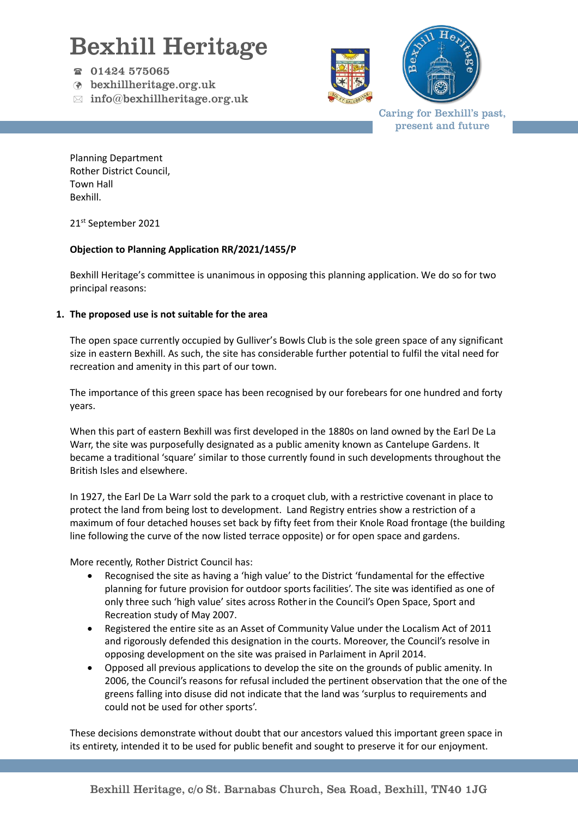## Bexhill Heritage

- $\textcircled{r}$  01424 575065
- bexhillheritage.org.uk
- $\boxtimes$  info@bexhillheritage.org.uk





Caring for Bexhill's past, present and future

Planning Department Rother District Council, Town Hall Bexhill.

21<sup>st</sup> September 2021

### **Objection to Planning Application RR/2021/1455/P**

Bexhill Heritage's committee is unanimous in opposing this planning application. We do so for two principal reasons:

#### **1. The proposed use is not suitable for the area**

The open space currently occupied by Gulliver's Bowls Club is the sole green space of any significant size in eastern Bexhill. As such, the site has considerable further potential to fulfil the vital need for recreation and amenity in this part of our town.

The importance of this green space has been recognised by our forebears for one hundred and forty years.

When this part of eastern Bexhill was first developed in the 1880s on land owned by the Earl De La Warr, the site was purposefully designated as a public amenity known as Cantelupe Gardens. It became a traditional 'square' similar to those currently found in such developments throughout the British Isles and elsewhere.

In 1927, the Earl De La Warr sold the park to a croquet club, with a restrictive covenant in place to protect the land from being lost to development. Land Registry entries show a restriction of a maximum of four detached houses set back by fifty feet from their Knole Road frontage (the building line following the curve of the now listed terrace opposite) or for open space and gardens.

More recently, Rother District Council has:

- Recognised the site as having a 'high value' to the District 'fundamental for the effective planning for future provision for outdoor sports facilities'. The site was identified as one of only three such 'high value' sites across Rotherin the Council's Open Space, Sport and Recreation study of May 2007.
- Registered the entire site as an Asset of Community Value under the Localism Act of 2011 and rigorously defended this designation in the courts. Moreover, the Council's resolve in opposing development on the site was praised in Parlaiment in April 2014.
- Opposed all previous applications to develop the site on the grounds of public amenity. In 2006, the Council's reasons for refusal included the pertinent observation that the one of the greens falling into disuse did not indicate that the land was 'surplus to requirements and could not be used for other sports'.

These decisions demonstrate without doubt that our ancestors valued this important green space in its entirety, intended it to be used for public benefit and sought to preserve it for our enjoyment.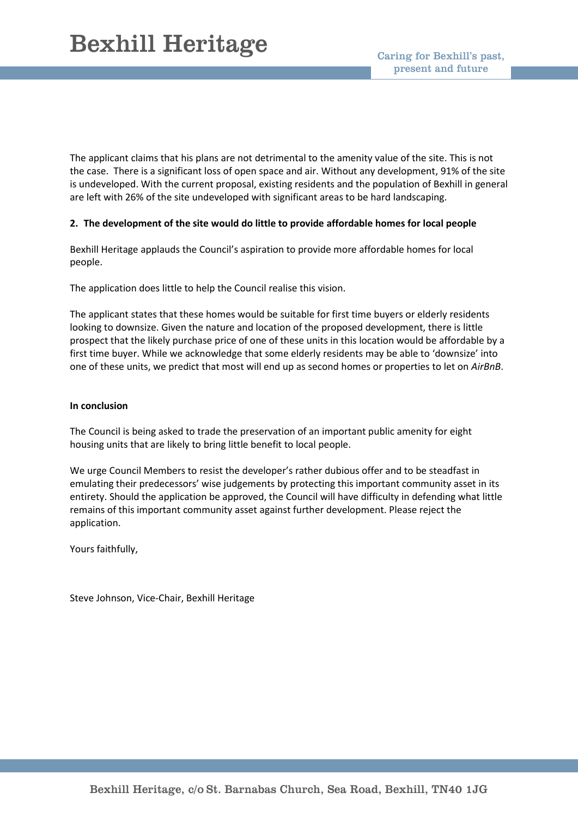The applicant claims that his plans are not detrimental to the amenity value of the site. This is not the case. There is a significant loss of open space and air. Without any development, 91% of the site is undeveloped. With the current proposal, existing residents and the population of Bexhill in general are left with 26% of the site undeveloped with significant areas to be hard landscaping.

#### **2. The development of the site would do little to provide affordable homes for local people**

Bexhill Heritage applauds the Council's aspiration to provide more affordable homes for local people.

The application does little to help the Council realise this vision.

The applicant states that these homes would be suitable for first time buyers or elderly residents looking to downsize. Given the nature and location of the proposed development, there is little prospect that the likely purchase price of one of these units in this location would be affordable by a first time buyer. While we acknowledge that some elderly residents may be able to 'downsize' into one of these units, we predict that most will end up as second homes or properties to let on *AirBnB*.

#### **In conclusion**

The Council is being asked to trade the preservation of an important public amenity for eight housing units that are likely to bring little benefit to local people.

We urge Council Members to resist the developer's rather dubious offer and to be steadfast in emulating their predecessors' wise judgements by protecting this important community asset in its entirety. Should the application be approved, the Council will have difficulty in defending what little remains of this important community asset against further development. Please reject the application.

Yours faithfully,

Steve Johnson, Vice-Chair, Bexhill Heritage